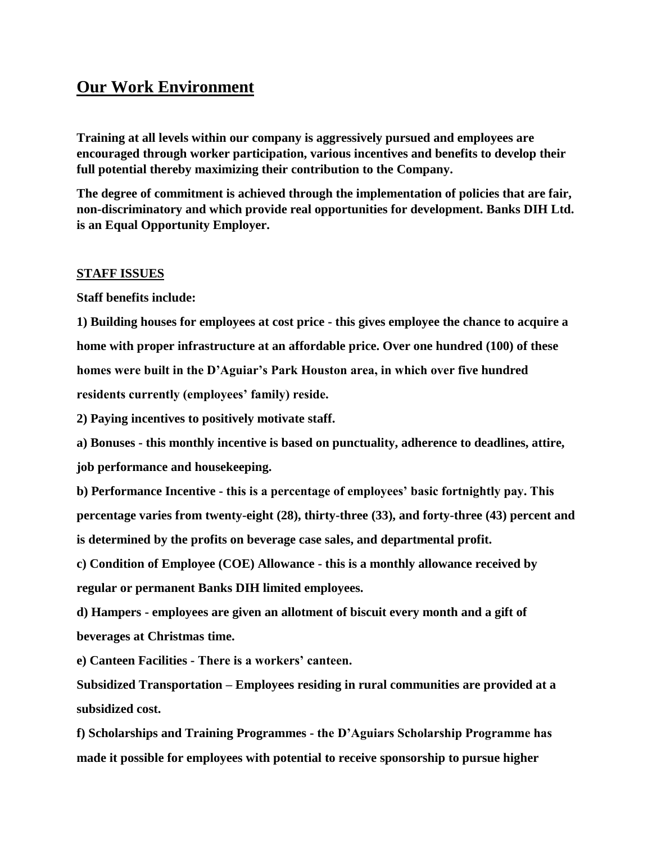## **Our Work Environment**

**Training at all levels within our company is aggressively pursued and employees are encouraged through worker participation, various incentives and benefits to develop their full potential thereby maximizing their contribution to the Company.**

**The degree of commitment is achieved through the implementation of policies that are fair, non-discriminatory and which provide real opportunities for development. Banks DIH Ltd. is an Equal Opportunity Employer.**

## **STAFF ISSUES**

**Staff benefits include:**

**1) Building houses for employees at cost price - this gives employee the chance to acquire a home with proper infrastructure at an affordable price. Over one hundred (100) of these homes were built in the D'Aguiar's Park Houston area, in which over five hundred residents currently (employees' family) reside.**

**2) Paying incentives to positively motivate staff.**

**a) Bonuses - this monthly incentive is based on punctuality, adherence to deadlines, attire, job performance and housekeeping.**

**b) Performance Incentive - this is a percentage of employees' basic fortnightly pay. This percentage varies from twenty-eight (28), thirty-three (33), and forty-three (43) percent and is determined by the profits on beverage case sales, and departmental profit.**

**c) Condition of Employee (COE) Allowance - this is a monthly allowance received by regular or permanent Banks DIH limited employees.**

**d) Hampers - employees are given an allotment of biscuit every month and a gift of beverages at Christmas time.**

**e) Canteen Facilities - There is a workers' canteen.**

**Subsidized Transportation – Employees residing in rural communities are provided at a subsidized cost.**

**f) Scholarships and Training Programmes - the D'Aguiars Scholarship Programme has made it possible for employees with potential to receive sponsorship to pursue higher**